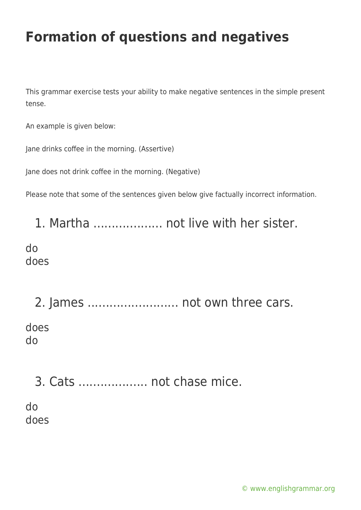This grammar exercise tests your ability to make negative sentences in the simple present tense.

An example is given below:

Jane drinks coffee in the morning. (Assertive)

Jane does not drink coffee in the morning. (Negative)

Please note that some of the sentences given below give factually incorrect information.

1. Martha ................... not live with her sister.

do does

2. James ......................... not own three cars. does do

3. Cats ................... not chase mice.

do does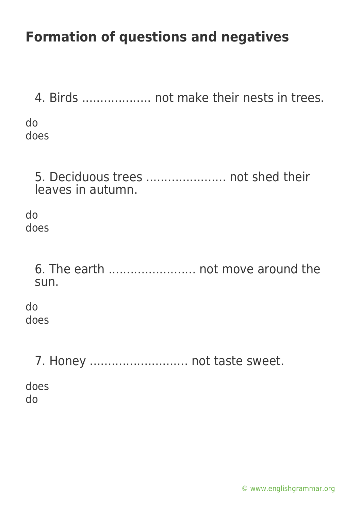4. Birds ................... not make their nests in trees. do does 5. Deciduous trees ...................... not shed their leaves in autumn. do does 6. The earth ........................ not move around the sun. do does 7. Honey ............................. not taste sweet. does do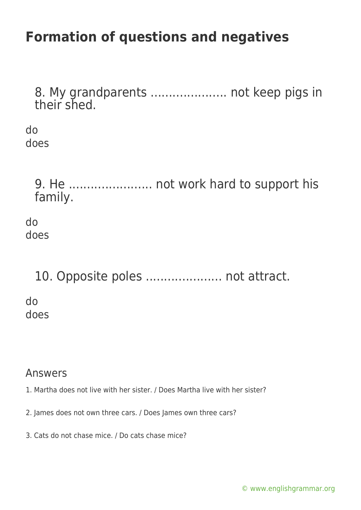8. My grandparents ..................... not keep pigs in their shed.

do does

> 9. He ....................... not work hard to support his family.

do does

10. Opposite poles ....................... not attract.

do does

#### Answers

- 1. Martha does not live with her sister. / Does Martha live with her sister?
- 2. James does not own three cars. / Does James own three cars?
- 3. Cats do not chase mice. / Do cats chase mice?